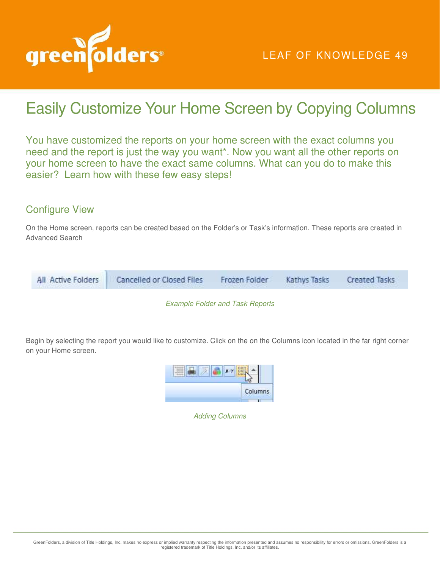

## Easily Customize Your Home Screen by Copying Columns

You have customized the reports on your home screen with the exact columns you need and the report is just the way you want\*. Now you want all the other reports on your home screen to have the exact same columns. What can you do to make this easier? Learn how with these few easy steps!

## Configure View

On the Home screen, reports can be created based on the Folder's or Task's information. These reports are created in Advanced Search



*Example Folder and Task Reports* 

Begin by selecting the report you would like to customize. Click on the on the Columns icon located in the far right corner on your Home screen.



*Adding Columns*